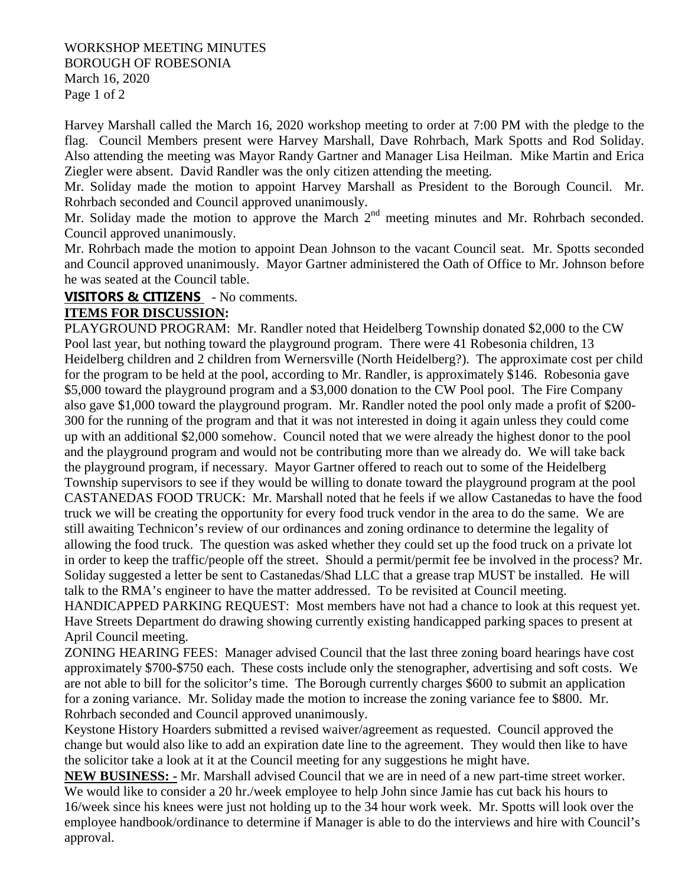## WORKSHOP MEETING MINUTES BOROUGH OF ROBESONIA March 16, 2020 Page 1 of 2

Harvey Marshall called the March 16, 2020 workshop meeting to order at 7:00 PM with the pledge to the flag. Council Members present were Harvey Marshall, Dave Rohrbach, Mark Spotts and Rod Soliday. Also attending the meeting was Mayor Randy Gartner and Manager Lisa Heilman. Mike Martin and Erica Ziegler were absent. David Randler was the only citizen attending the meeting.

Mr. Soliday made the motion to appoint Harvey Marshall as President to the Borough Council. Mr. Rohrbach seconded and Council approved unanimously.

Mr. Soliday made the motion to approve the March  $2<sup>nd</sup>$  meeting minutes and Mr. Rohrbach seconded. Council approved unanimously.

Mr. Rohrbach made the motion to appoint Dean Johnson to the vacant Council seat. Mr. Spotts seconded and Council approved unanimously. Mayor Gartner administered the Oath of Office to Mr. Johnson before he was seated at the Council table.

## **VISITORS & CITIZENS** - No comments.

## **ITEMS FOR DISCUSSION:**

PLAYGROUND PROGRAM: Mr. Randler noted that Heidelberg Township donated \$2,000 to the CW Pool last year, but nothing toward the playground program. There were 41 Robesonia children, 13 Heidelberg children and 2 children from Wernersville (North Heidelberg?). The approximate cost per child for the program to be held at the pool, according to Mr. Randler, is approximately \$146. Robesonia gave \$5,000 toward the playground program and a \$3,000 donation to the CW Pool pool. The Fire Company also gave \$1,000 toward the playground program. Mr. Randler noted the pool only made a profit of \$200- 300 for the running of the program and that it was not interested in doing it again unless they could come up with an additional \$2,000 somehow. Council noted that we were already the highest donor to the pool and the playground program and would not be contributing more than we already do. We will take back the playground program, if necessary. Mayor Gartner offered to reach out to some of the Heidelberg Township supervisors to see if they would be willing to donate toward the playground program at the pool CASTANEDAS FOOD TRUCK: Mr. Marshall noted that he feels if we allow Castanedas to have the food truck we will be creating the opportunity for every food truck vendor in the area to do the same. We are still awaiting Technicon's review of our ordinances and zoning ordinance to determine the legality of allowing the food truck. The question was asked whether they could set up the food truck on a private lot in order to keep the traffic/people off the street. Should a permit/permit fee be involved in the process? Mr. Soliday suggested a letter be sent to Castanedas/Shad LLC that a grease trap MUST be installed. He will talk to the RMA's engineer to have the matter addressed. To be revisited at Council meeting.

HANDICAPPED PARKING REQUEST: Most members have not had a chance to look at this request yet. Have Streets Department do drawing showing currently existing handicapped parking spaces to present at April Council meeting.

ZONING HEARING FEES: Manager advised Council that the last three zoning board hearings have cost approximately \$700-\$750 each. These costs include only the stenographer, advertising and soft costs. We are not able to bill for the solicitor's time. The Borough currently charges \$600 to submit an application for a zoning variance. Mr. Soliday made the motion to increase the zoning variance fee to \$800. Mr. Rohrbach seconded and Council approved unanimously.

Keystone History Hoarders submitted a revised waiver/agreement as requested. Council approved the change but would also like to add an expiration date line to the agreement. They would then like to have the solicitor take a look at it at the Council meeting for any suggestions he might have.

**NEW BUSINESS: -** Mr. Marshall advised Council that we are in need of a new part-time street worker. We would like to consider a 20 hr./week employee to help John since Jamie has cut back his hours to 16/week since his knees were just not holding up to the 34 hour work week. Mr. Spotts will look over the employee handbook/ordinance to determine if Manager is able to do the interviews and hire with Council's approval.